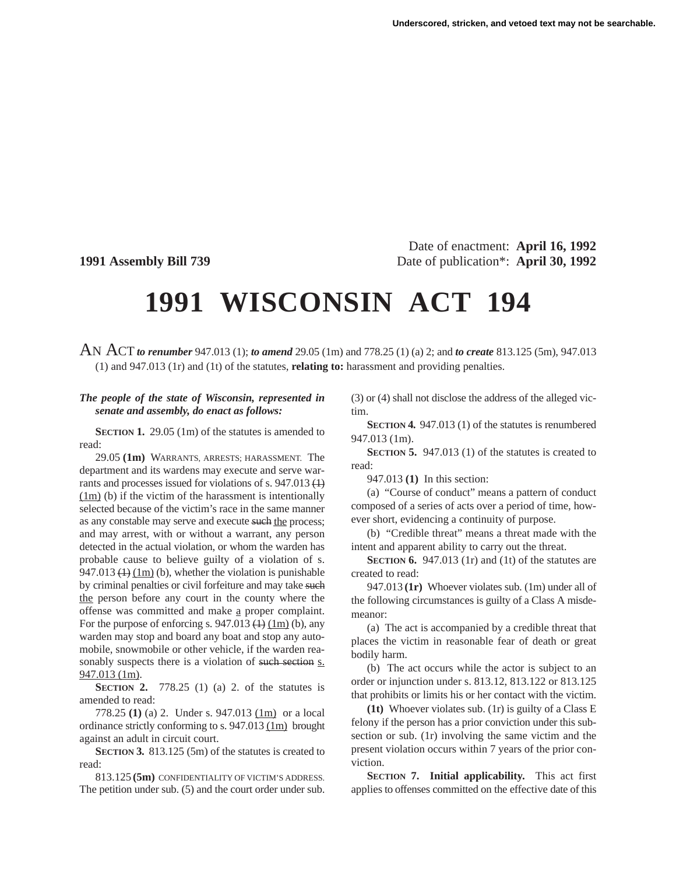Date of enactment: **April 16, 1992 1991 Assembly Bill 739** Date of publication\*: **April 30, 1992**

## **1991 WISCONSIN ACT 194**

AN ACT *to renumber* 947.013 (1); *to amend* 29.05 (1m) and 778.25 (1) (a) 2; and *to create* 813.125 (5m), 947.013 (1) and 947.013 (1r) and (1t) of the statutes, **relating to:** harassment and providing penalties.

## *The people of the state of Wisconsin, represented in senate and assembly, do enact as follows:*

**SECTION 1.** 29.05 (1m) of the statutes is amended to read:

29.05 **(1m)** WARRANTS, ARRESTS; HARASSMENT. The department and its wardens may execute and serve warrants and processes issued for violations of s. 947.013 (1)  $(1m)$  (b) if the victim of the harassment is intentionally selected because of the victim's race in the same manner as any constable may serve and execute such the process; and may arrest, with or without a warrant, any person detected in the actual violation, or whom the warden has probable cause to believe guilty of a violation of s. 947.013  $(1)$   $(1m)$  (b), whether the violation is punishable by criminal penalties or civil forfeiture and may take such the person before any court in the county where the offense was committed and make a proper complaint. For the purpose of enforcing s.  $947.013 \left( \frac{1}{1 \text{ m}} \right)$  (b), any warden may stop and board any boat and stop any automobile, snowmobile or other vehicle, if the warden reasonably suspects there is a violation of such section s. 947.013 (1m).

**SECTION 2.** 778.25 (1) (a) 2. of the statutes is amended to read:

778.25 **(1)** (a) 2. Under s. 947.013 (1m) or a local ordinance strictly conforming to s.  $947.013$  (1m) brought against an adult in circuit court.

**SECTION 3.** 813.125 (5m) of the statutes is created to read:

813.125 **(5m)** CONFIDENTIALITY OF VICTIM'S ADDRESS. The petition under sub. (5) and the court order under sub. (3) or (4) shall not disclose the address of the alleged victim.

**SECTION 4.** 947.013 (1) of the statutes is renumbered 947.013 (1m).

**SECTION 5.** 947.013 (1) of the statutes is created to read:

947.013 **(1)** In this section:

(a) "Course of conduct" means a pattern of conduct composed of a series of acts over a period of time, however short, evidencing a continuity of purpose.

(b) "Credible threat" means a threat made with the intent and apparent ability to carry out the threat.

**SECTION 6.** 947.013 (1r) and (1t) of the statutes are created to read:

947.013 **(1r)** Whoever violates sub. (1m) under all of the following circumstances is guilty of a Class A misdemeanor:

(a) The act is accompanied by a credible threat that places the victim in reasonable fear of death or great bodily harm.

(b) The act occurs while the actor is subject to an order or injunction under s. 813.12, 813.122 or 813.125 that prohibits or limits his or her contact with the victim.

**(1t)** Whoever violates sub. (1r) is guilty of a Class E felony if the person has a prior conviction under this subsection or sub. (1r) involving the same victim and the present violation occurs within 7 years of the prior conviction.

**SECTION 7. Initial applicability.** This act first applies to offenses committed on the effective date of this